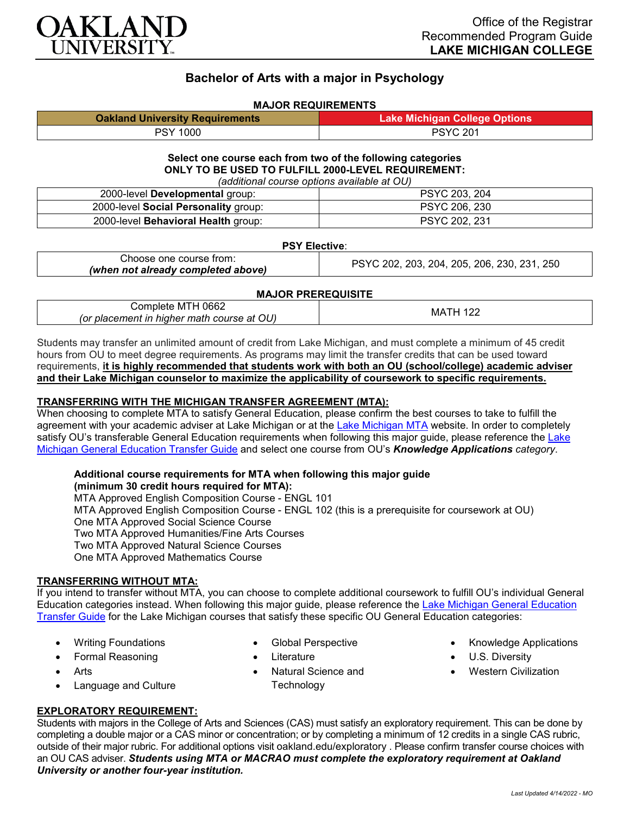

# **Bachelor of Arts with a major in Psychology**

#### **MAJOR REQUIREMENTS**

| <b>Oakland University Requirements</b> | <b>Lake Michigan College Options</b> |
|----------------------------------------|--------------------------------------|
| PSY 1000                               | <b>PSYC 201</b>                      |

#### **Select one course each from two of the following categories ONLY TO BE USED TO FULFILL 2000-LEVEL REQUIREMENT:** *(additional course options available at OU)*

| <u>(additional course options available at OO)</u> |                      |  |
|----------------------------------------------------|----------------------|--|
| 2000-level Developmental group:                    | PSYC 203, 204        |  |
| 2000-level Social Personality group:               | PSYC 206, 230        |  |
| 2000-level Behavioral Health group:                | <b>PSYC 202, 231</b> |  |

#### **PSY Elective**:

| Choose one course from:            | PSYC 202, 203, 204, 205, 206, 230, 231, 250 |
|------------------------------------|---------------------------------------------|
| (when not already completed above) |                                             |

#### **MAJOR PREREQUISITE**

| l 0662<br>:omplete MTH                     | MA. |
|--------------------------------------------|-----|
| (or placement in higher math course at OU) |     |

Students may transfer an unlimited amount of credit from Lake Michigan, and must complete a minimum of 45 credit hours from OU to meet degree requirements. As programs may limit the transfer credits that can be used toward requirements, **it is highly recommended that students work with both an OU (school/college) academic adviser and their Lake Michigan counselor to maximize the applicability of coursework to specific requirements.**

#### **TRANSFERRING WITH THE MICHIGAN TRANSFER AGREEMENT (MTA):**

When choosing to complete MTA to satisfy General Education, please confirm the best courses to take to fulfill the agreement with your academic adviser at Lake Michigan or at the [Lake Michigan MTA](https://www.lakemichigancollege.edu/academics/educational-goals/transfer/transfer-information) website. In order to completely satisfy OU's transferable General Education requirements when following this major quide, please reference the Lake [Michigan General Education Transfer Guide](https://www.oakland.edu/Assets/Oakland/program-guides/lake-michigan-college/university-general-education-requirements/Lake%20Michigan%20Gen%20Ed.pdf) and select one course from OU's *Knowledge Applications category*.

#### **Additional course requirements for MTA when following this major guide**

**(minimum 30 credit hours required for MTA):** MTA Approved English Composition Course - ENGL 101 MTA Approved English Composition Course - ENGL 102 (this is a prerequisite for coursework at OU) One MTA Approved Social Science Course Two MTA Approved Humanities/Fine Arts Courses Two MTA Approved Natural Science Courses One MTA Approved Mathematics Course

### **TRANSFERRING WITHOUT MTA:**

If you intend to transfer without MTA, you can choose to complete additional coursework to fulfill OU's individual General Education categories instead. When following this major guide, please reference the [Lake Michigan General Education](https://www.oakland.edu/Assets/Oakland/program-guides/lake-michigan-college/university-general-education-requirements/Lake%20Michigan%20Gen%20Ed.pdf)  [Transfer Guide](https://www.oakland.edu/Assets/Oakland/program-guides/lake-michigan-college/university-general-education-requirements/Lake%20Michigan%20Gen%20Ed.pdf) for the Lake Michigan courses that satisfy these specific OU General Education categories:

- Writing Foundations
- Formal Reasoning
- Arts
- Language and Culture
- Global Perspective
- **Literature**
- Natural Science and **Technology**
- Knowledge Applications
- U.S. Diversity
- Western Civilization

## **EXPLORATORY REQUIREMENT:**

Students with majors in the College of Arts and Sciences (CAS) must satisfy an exploratory requirement. This can be done by completing a double major or a CAS minor or concentration; or by completing a minimum of 12 credits in a single CAS rubric, outside of their major rubric. For additional options visit [oakland.edu/exploratory](http://www.oakland.edu/exploratory) . Please confirm transfer course choices with an OU CAS adviser. *Students using MTA or MACRAO must complete the exploratory requirement at Oakland University or another four-year institution.*